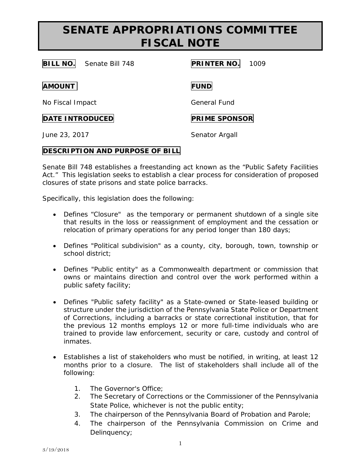# **SENATE APPROPRIATIONS COMMITTEE FISCAL NOTE**

| <b>BILL NO.</b><br>Senate Bill 748 | <b>PRINTER NO.</b><br>1009 |
|------------------------------------|----------------------------|
| <b>AMOUNT</b>                      | <b>FUND</b>                |
| No Fiscal Impact                   | General Fund               |
| <b>DATE INTRODUCED</b>             | <b>PRIME SPONSOR</b>       |
| June 23, 2017                      | Senator Argall             |

#### **DESCRIPTION AND PURPOSE OF BILL**

Senate Bill 748 establishes a freestanding act known as the "Public Safety Facilities Act." This legislation seeks to establish a clear process for consideration of proposed closures of state prisons and state police barracks.

Specifically, this legislation does the following:

- Defines "Closure" as the temporary or permanent shutdown of a single site that results in the loss or reassignment of employment and the cessation or relocation of primary operations for any period longer than 180 days;
- Defines "Political subdivision" as a county, city, borough, town, township or school district;
- Defines "Public entity" as a Commonwealth department or commission that owns or maintains direction and control over the work performed within a public safety facility;
- Defines "Public safety facility" as a State-owned or State-leased building or structure under the jurisdiction of the Pennsylvania State Police or Department of Corrections, including a barracks or state correctional institution, that for the previous 12 months employs 12 or more full-time individuals who are trained to provide law enforcement, security or care, custody and control of inmates.
- Establishes a list of stakeholders who must be notified, in writing, at least 12 months prior to a closure. The list of stakeholders shall include all of the following:
	- 1. The Governor's Office;
	- 2. The Secretary of Corrections or the Commissioner of the Pennsylvania State Police, whichever is not the public entity;
	- 3. The chairperson of the Pennsylvania Board of Probation and Parole;
	- 4. The chairperson of the Pennsylvania Commission on Crime and Delinquency;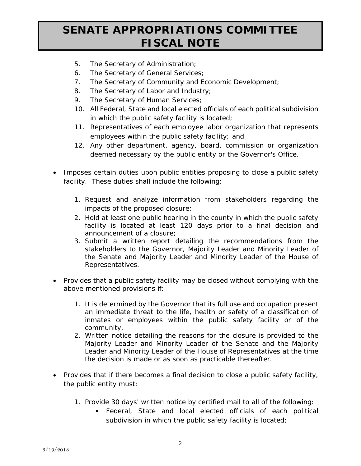# **SENATE APPROPRIATIONS COMMITTEE FISCAL NOTE**

- 5. The Secretary of Administration;
- 6. The Secretary of General Services;
- 7. The Secretary of Community and Economic Development;
- 8. The Secretary of Labor and Industry;
- 9. The Secretary of Human Services;
- 10. All Federal, State and local elected officials of each political subdivision in which the public safety facility is located;
- 11. Representatives of each employee labor organization that represents employees within the public safety facility; and
- 12. Any other department, agency, board, commission or organization deemed necessary by the public entity or the Governor's Office.
- Imposes certain duties upon public entities proposing to close a public safety facility. These duties shall include the following:
	- 1. Request and analyze information from stakeholders regarding the impacts of the proposed closure;
	- 2. Hold at least one public hearing in the county in which the public safety facility is located at least 120 days prior to a final decision and announcement of a closure;
	- 3. Submit a written report detailing the recommendations from the stakeholders to the Governor, Majority Leader and Minority Leader of the Senate and Majority Leader and Minority Leader of the House of Representatives.
- Provides that a public safety facility may be closed without complying with the above mentioned provisions if:
	- 1. It is determined by the Governor that its full use and occupation present an immediate threat to the life, health or safety of a classification of inmates or employees within the public safety facility or of the community.
	- 2. Written notice detailing the reasons for the closure is provided to the Majority Leader and Minority Leader of the Senate and the Majority Leader and Minority Leader of the House of Representatives at the time the decision is made or as soon as practicable thereafter.
- Provides that if there becomes a final decision to close a public safety facility, the public entity must:
	- 1. Provide 30 days' written notice by certified mail to all of the following:
		- Federal, State and local elected officials of each political subdivision in which the public safety facility is located;